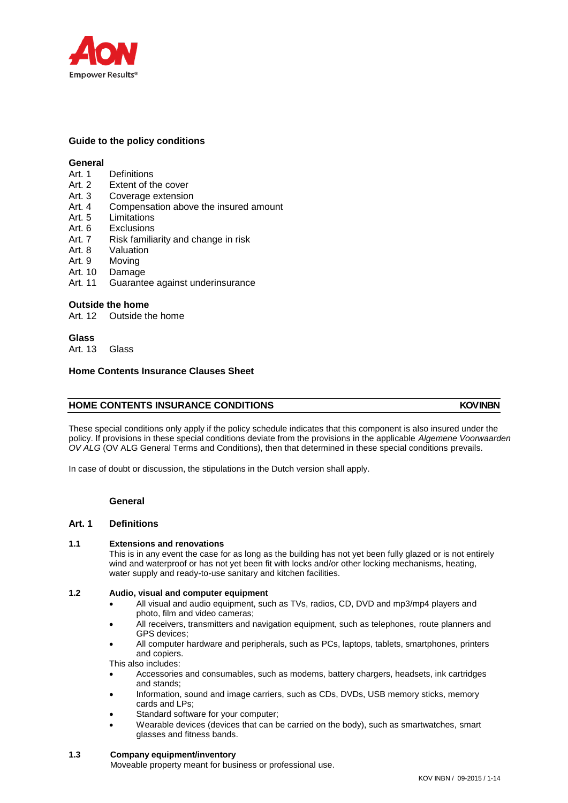

# **Guide to the policy conditions**

# **General**

- Art. 1 Definitions
- Art. 2 Extent of the cover
- Art. 3 Coverage extension
- Art. 4 Compensation above the insured amount
- Art. 5 Limitations
- Art. 6 Exclusions
- Art. 7 Risk familiarity and change in risk
- Art. 8 Valuation
- Art. 9 Moving
- Art. 10 Damage
- Art. 11 Guarantee against underinsurance

## **Outside the home**

Art. 12 Outside the home

## **Glass**

Art. 13 Glass

# **Home Contents Insurance Clauses Sheet**

# **HOME CONTENTS INSURANCE CONDITIONS INDUCES AND A LOCAL TO A LOCAL MOVINEN**

These special conditions only apply if the policy schedule indicates that this component is also insured under the policy. If provisions in these special conditions deviate from the provisions in the applicable *Algemene Voorwaarden OV ALG* (OV ALG General Terms and Conditions), then that determined in these special conditions prevails.

In case of doubt or discussion, the stipulations in the Dutch version shall apply.

### **General**

## **Art. 1 Definitions**

### **1.1 Extensions and renovations**

This is in any event the case for as long as the building has not yet been fully glazed or is not entirely wind and waterproof or has not yet been fit with locks and/or other locking mechanisms, heating, water supply and ready-to-use sanitary and kitchen facilities.

# **1.2 Audio, visual and computer equipment**

- All visual and audio equipment, such as TVs, radios, CD, DVD and mp3/mp4 players and photo, film and video cameras;
- All receivers, transmitters and navigation equipment, such as telephones, route planners and GPS devices;
- All computer hardware and peripherals, such as PCs, laptops, tablets, smartphones, printers and copiers.

This also includes:

- Accessories and consumables, such as modems, battery chargers, headsets, ink cartridges and stands;
- Information, sound and image carriers, such as CDs, DVDs, USB memory sticks, memory cards and LPs;
- Standard software for your computer;
- Wearable devices (devices that can be carried on the body), such as smartwatches, smart glasses and fitness bands.

### **1.3 Company equipment/inventory**

Moveable property meant for business or professional use.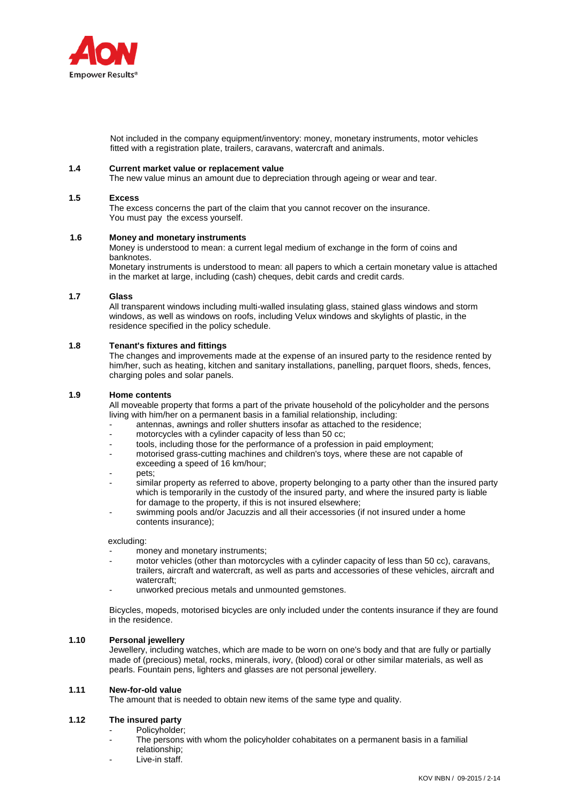

 Not included in the company equipment/inventory: money, monetary instruments, motor vehicles fitted with a registration plate, trailers, caravans, watercraft and animals.

#### **1.4 Current market value or replacement value**

The new value minus an amount due to depreciation through ageing or wear and tear.

#### **1.5 Excess**

The excess concerns the part of the claim that you cannot recover on the insurance. You must pay the excess yourself.

#### **1.6 Money and monetary instruments**

Money is understood to mean: a current legal medium of exchange in the form of coins and banknotes.

Monetary instruments is understood to mean: all papers to which a certain monetary value is attached in the market at large, including (cash) cheques, debit cards and credit cards.

### **1.7 Glass**

All transparent windows including multi-walled insulating glass, stained glass windows and storm windows, as well as windows on roofs, including Velux windows and skylights of plastic, in the residence specified in the policy schedule.

#### **1.8 Tenant's fixtures and fittings**

The changes and improvements made at the expense of an insured party to the residence rented by him/her, such as heating, kitchen and sanitary installations, panelling, parquet floors, sheds, fences, charging poles and solar panels.

#### **1.9 Home contents**

All moveable property that forms a part of the private household of the policyholder and the persons living with him/her on a permanent basis in a familial relationship, including:

- antennas, awnings and roller shutters insofar as attached to the residence;
- motorcycles with a cylinder capacity of less than 50 cc;
- tools, including those for the performance of a profession in paid employment;
- motorised grass-cutting machines and children's toys, where these are not capable of exceeding a speed of 16 km/hour;
- pets;
- similar property as referred to above, property belonging to a party other than the insured party which is temporarily in the custody of the insured party, and where the insured party is liable for damage to the property, if this is not insured elsewhere;
- swimming pools and/or Jacuzzis and all their accessories (if not insured under a home contents insurance);

excluding:

- money and monetary instruments;
- motor vehicles (other than motorcycles with a cylinder capacity of less than 50 cc), caravans, trailers, aircraft and watercraft, as well as parts and accessories of these vehicles, aircraft and watercraft;
- unworked precious metals and unmounted gemstones.

Bicycles, mopeds, motorised bicycles are only included under the contents insurance if they are found in the residence.

### **1.10 Personal jewellery**

Jewellery, including watches, which are made to be worn on one's body and that are fully or partially made of (precious) metal, rocks, minerals, ivory, (blood) coral or other similar materials, as well as pearls. Fountain pens, lighters and glasses are not personal jewellery.

### **1.11 New-for-old value**

The amount that is needed to obtain new items of the same type and quality.

# **1.12 The insured party**

- Policyholder:
- The persons with whom the policyholder cohabitates on a permanent basis in a familial relationship;
- Live-in staff.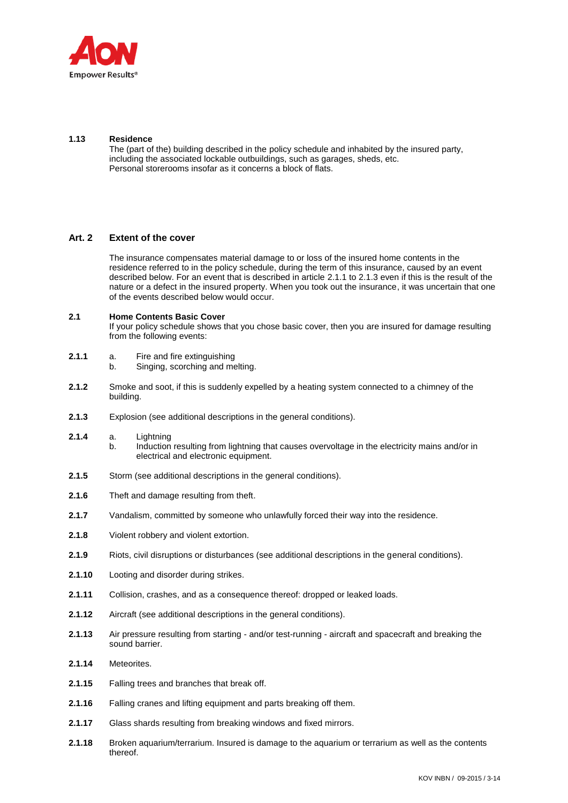

## **1.13 Residence**

The (part of the) building described in the policy schedule and inhabited by the insured party, including the associated lockable outbuildings, such as garages, sheds, etc. Personal storerooms insofar as it concerns a block of flats.

# **Art. 2 Extent of the cover**

The insurance compensates material damage to or loss of the insured home contents in the residence referred to in the policy schedule, during the term of this insurance, caused by an event described below. For an event that is described in article 2.1.1 to 2.1.3 even if this is the result of the nature or a defect in the insured property. When you took out the insurance, it was uncertain that one of the events described below would occur.

## **2.1 Home Contents Basic Cover**

If your policy schedule shows that you chose basic cover, then you are insured for damage resulting from the following events:

- **2.1.1** a. Fire and fire extinguishing
	- b. Singing, scorching and melting.
- **2.1.2** Smoke and soot, if this is suddenly expelled by a heating system connected to a chimney of the building.
- **2.1.3** Explosion (see additional descriptions in the general conditions).
- **2.1.4** a. Lightning b. Induction resulting from lightning that causes overvoltage in the electricity mains and/or in electrical and electronic equipment.
- **2.1.5** Storm (see additional descriptions in the general conditions).
- **2.1.6** Theft and damage resulting from theft.
- **2.1.7** Vandalism, committed by someone who unlawfully forced their way into the residence.
- **2.1.8** Violent robbery and violent extortion.
- **2.1.9** Riots, civil disruptions or disturbances (see additional descriptions in the general conditions).
- **2.1.10** Looting and disorder during strikes.
- **2.1.11** Collision, crashes, and as a consequence thereof: dropped or leaked loads.
- **2.1.12** Aircraft (see additional descriptions in the general conditions).
- **2.1.13** Air pressure resulting from starting and/or test-running aircraft and spacecraft and breaking the sound barrier.
- **2.1.14** Meteorites.
- **2.1.15** Falling trees and branches that break off.
- **2.1.16** Falling cranes and lifting equipment and parts breaking off them.
- **2.1.17** Glass shards resulting from breaking windows and fixed mirrors.
- **2.1.18** Broken aquarium/terrarium. Insured is damage to the aquarium or terrarium as well as the contents thereof.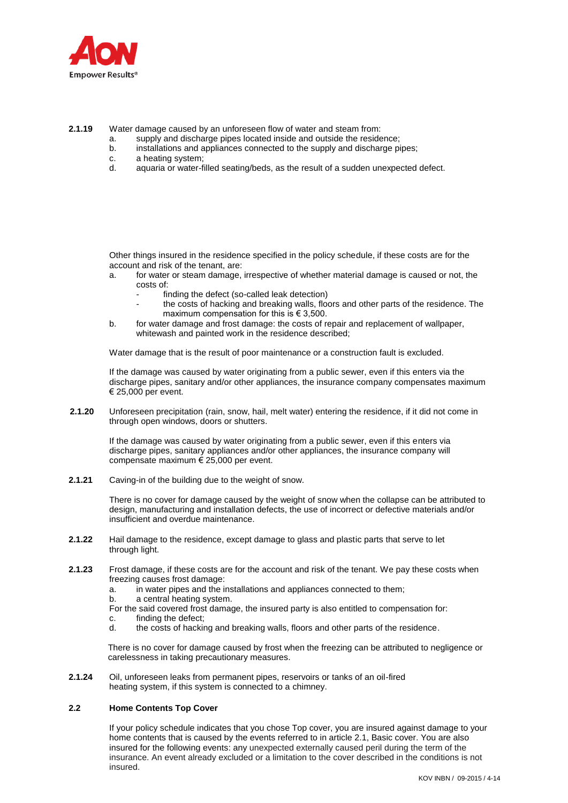

**2.1.19** Water damage caused by an unforeseen flow of water and steam from:

- a. supply and discharge pipes located inside and outside the residence;
- b. installations and appliances connected to the supply and discharge pipes;
- c. a heating system;
- d. aquaria or water-filled seating/beds, as the result of a sudden unexpected defect.

Other things insured in the residence specified in the policy schedule, if these costs are for the account and risk of the tenant, are:

- a. for water or steam damage, irrespective of whether material damage is caused or not, the costs of:
	- finding the defect (so-called leak detection)
	- the costs of hacking and breaking walls, floors and other parts of the residence. The maximum compensation for this is  $\in$  3,500.
- b. for water damage and frost damage: the costs of repair and replacement of wallpaper, whitewash and painted work in the residence described;

Water damage that is the result of poor maintenance or a construction fault is excluded.

If the damage was caused by water originating from a public sewer, even if this enters via the discharge pipes, sanitary and/or other appliances, the insurance company compensates maximum € 25,000 per event.

**2.1.20** Unforeseen precipitation (rain, snow, hail, melt water) entering the residence, if it did not come in through open windows, doors or shutters.

If the damage was caused by water originating from a public sewer, even if this enters via discharge pipes, sanitary appliances and/or other appliances, the insurance company will compensate maximum € 25,000 per event.

**2.1.21** Caving-in of the building due to the weight of snow.

There is no cover for damage caused by the weight of snow when the collapse can be attributed to design, manufacturing and installation defects, the use of incorrect or defective materials and/or insufficient and overdue maintenance.

- **2.1.22** Hail damage to the residence, except damage to glass and plastic parts that serve to let through light.
- **2.1.23** Frost damage, if these costs are for the account and risk of the tenant. We pay these costs when freezing causes frost damage:
	- a. in water pipes and the installations and appliances connected to them;
	- b. a central heating system.
	- For the said covered frost damage, the insured party is also entitled to compensation for:
	- c. finding the defect;
	- d. the costs of hacking and breaking walls, floors and other parts of the residence.

There is no cover for damage caused by frost when the freezing can be attributed to negligence or carelessness in taking precautionary measures.

**2.1.24** Oil, unforeseen leaks from permanent pipes, reservoirs or tanks of an oil-fired heating system, if this system is connected to a chimney.

### **2.2 Home Contents Top Cover**

If your policy schedule indicates that you chose Top cover, you are insured against damage to your home contents that is caused by the events referred to in article 2.1, Basic cover. You are also insured for the following events: any unexpected externally caused peril during the term of the insurance. An event already excluded or a limitation to the cover described in the conditions is not insured.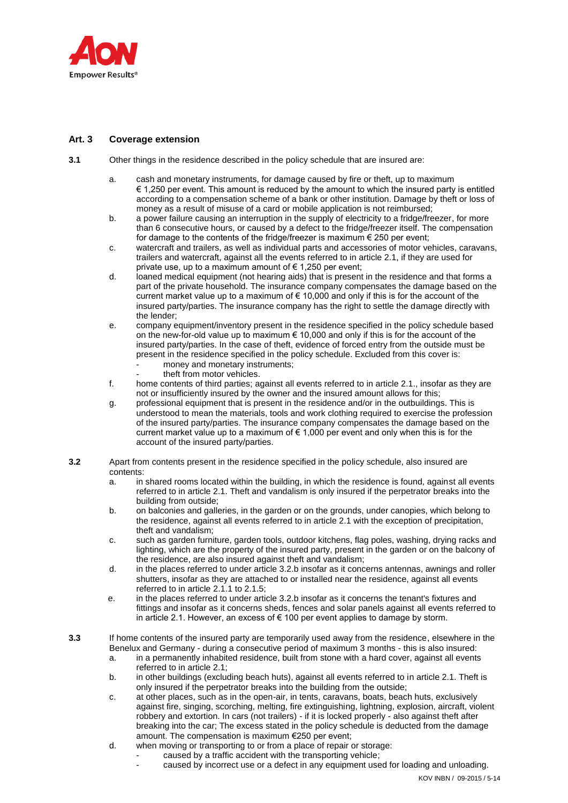

# **Art. 3 Coverage extension**

- **3.1** Other things in the residence described in the policy schedule that are insured are:
	- a. cash and monetary instruments, for damage caused by fire or theft, up to maximum € 1,250 per event. This amount is reduced by the amount to which the insured party is entitled according to a compensation scheme of a bank or other institution. Damage by theft or loss of money as a result of misuse of a card or mobile application is not reimbursed;
	- b. a power failure causing an interruption in the supply of electricity to a fridge/freezer, for more than 6 consecutive hours, or caused by a defect to the fridge/freezer itself. The compensation for damage to the contents of the fridge/freezer is maximum  $\epsilon$  250 per event;
	- c. watercraft and trailers, as well as individual parts and accessories of motor vehicles, caravans, trailers and watercraft, against all the events referred to in article 2.1, if they are used for private use, up to a maximum amount of  $\epsilon$  1,250 per event;
	- d. loaned medical equipment (not hearing aids) that is present in the residence and that forms a part of the private household. The insurance company compensates the damage based on the current market value up to a maximum of  $\in$  10,000 and only if this is for the account of the insured party/parties. The insurance company has the right to settle the damage directly with the lender;
	- e. company equipment/inventory present in the residence specified in the policy schedule based on the new-for-old value up to maximum  $\epsilon$  10,000 and only if this is for the account of the insured party/parties. In the case of theft, evidence of forced entry from the outside must be present in the residence specified in the policy schedule. Excluded from this cover is:
		- money and monetary instruments;
		- theft from motor vehicles.
	- f. home contents of third parties; against all events referred to in article 2.1., insofar as they are not or insufficiently insured by the owner and the insured amount allows for this;
	- g. professional equipment that is present in the residence and/or in the outbuildings. This is understood to mean the materials, tools and work clothing required to exercise the profession of the insured party/parties. The insurance company compensates the damage based on the current market value up to a maximum of  $\epsilon$  1,000 per event and only when this is for the account of the insured party/parties.
- **3.2** Apart from contents present in the residence specified in the policy schedule, also insured are contents:
	- a. in shared rooms located within the building, in which the residence is found, against all events referred to in article 2.1. Theft and vandalism is only insured if the perpetrator breaks into the building from outside;
	- b. on balconies and galleries, in the garden or on the grounds, under canopies, which belong to the residence, against all events referred to in article 2.1 with the exception of precipitation, theft and vandalism;
	- c. such as garden furniture, garden tools, outdoor kitchens, flag poles, washing, drying racks and lighting, which are the property of the insured party, present in the garden or on the balcony of the residence, are also insured against theft and vandalism;
	- d. in the places referred to under article 3.2.b insofar as it concerns antennas, awnings and roller shutters, insofar as they are attached to or installed near the residence, against all events referred to in article 2.1.1 to 2.1.5;
	- e. in the places referred to under article 3.2.b insofar as it concerns the tenant's fixtures and fittings and insofar as it concerns sheds, fences and solar panels against all events referred to in article 2.1. However, an excess of  $\epsilon$  100 per event applies to damage by storm.
- **3.3** If home contents of the insured party are temporarily used away from the residence, elsewhere in the Benelux and Germany - during a consecutive period of maximum 3 months - this is also insured:
	- a. in a permanently inhabited residence, built from stone with a hard cover, against all events referred to in article 2.1;
	- b. in other buildings (excluding beach huts), against all events referred to in article 2.1. Theft is only insured if the perpetrator breaks into the building from the outside;
	- c. at other places, such as in the open-air, in tents, caravans, boats, beach huts, exclusively against fire, singing, scorching, melting, fire extinguishing, lightning, explosion, aircraft, violent robbery and extortion. In cars (not trailers) - if it is locked properly - also against theft after breaking into the car; The excess stated in the policy schedule is deducted from the damage amount. The compensation is maximum €250 per event;
	- d. when moving or transporting to or from a place of repair or storage:
		- caused by a traffic accident with the transporting vehicle;
			- caused by incorrect use or a defect in any equipment used for loading and unloading.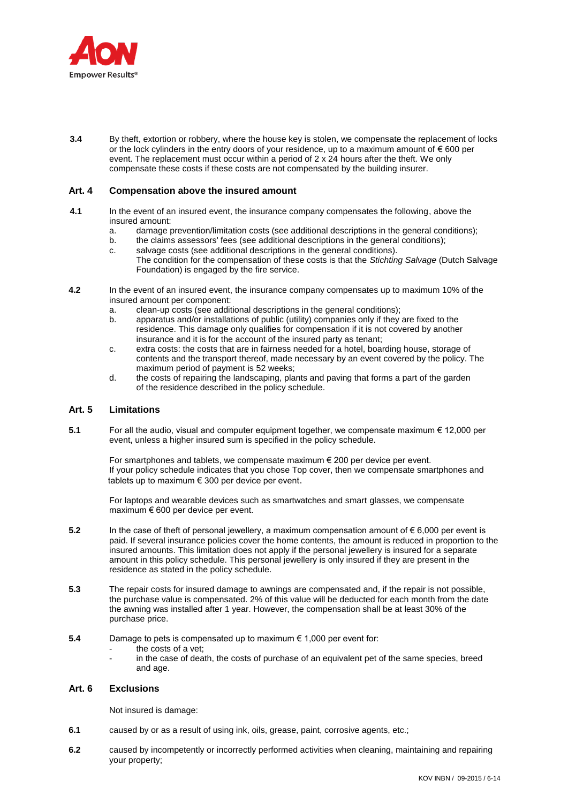

**3.4** By theft, extortion or robbery, where the house key is stolen, we compensate the replacement of locks or the lock cylinders in the entry doors of your residence, up to a maximum amount of  $\epsilon$  600 per event. The replacement must occur within a period of 2 x 24 hours after the theft. We only compensate these costs if these costs are not compensated by the building insurer.

# **Art. 4 Compensation above the insured amount**

- **4.1** In the event of an insured event, the insurance company compensates the following, above the insured amount:
	- a. damage prevention/limitation costs (see additional descriptions in the general conditions);
	- b. the claims assessors' fees (see additional descriptions in the general conditions);
	- c. salvage costs (see additional descriptions in the general conditions). The condition for the compensation of these costs is that the *Stichting Salvage* (Dutch Salvage Foundation) is engaged by the fire service.
- **4.2** In the event of an insured event, the insurance company compensates up to maximum 10% of the insured amount per component:
	- a. clean-up costs (see additional descriptions in the general conditions);<br>b. apparatus and/or installations of public (utility) companies only if they
	- apparatus and/or installations of public (utility) companies only if they are fixed to the residence. This damage only qualifies for compensation if it is not covered by another insurance and it is for the account of the insured party as tenant;
	- c. extra costs: the costs that are in fairness needed for a hotel, boarding house, storage of contents and the transport thereof, made necessary by an event covered by the policy. The maximum period of payment is 52 weeks;
	- d. the costs of repairing the landscaping, plants and paving that forms a part of the garden of the residence described in the policy schedule.

### **Art. 5 Limitations**

**5.1** For all the audio, visual and computer equipment together, we compensate maximum € 12,000 per event, unless a higher insured sum is specified in the policy schedule.

For smartphones and tablets, we compensate maximum € 200 per device per event. If your policy schedule indicates that you chose Top cover, then we compensate smartphones and tablets up to maximum € 300 per device per event.

For laptops and wearable devices such as smartwatches and smart glasses, we compensate maximum € 600 per device per event.

- **5.2** In the case of theft of personal jewellery, a maximum compensation amount of € 6,000 per event is paid. If several insurance policies cover the home contents, the amount is reduced in proportion to the insured amounts. This limitation does not apply if the personal jewellery is insured for a separate amount in this policy schedule. This personal jewellery is only insured if they are present in the residence as stated in the policy schedule.
- **5.3** The repair costs for insured damage to awnings are compensated and, if the repair is not possible, the purchase value is compensated. 2% of this value will be deducted for each month from the date the awning was installed after 1 year. However, the compensation shall be at least 30% of the purchase price.
- **5.4** Damage to pets is compensated up to maximum € 1,000 per event for:
	- the costs of a vet:
	- in the case of death, the costs of purchase of an equivalent pet of the same species, breed and age.

# **Art. 6 Exclusions**

Not insured is damage:

- **6.1** caused by or as a result of using ink, oils, grease, paint, corrosive agents, etc.;
- **6.2** caused by incompetently or incorrectly performed activities when cleaning, maintaining and repairing your property;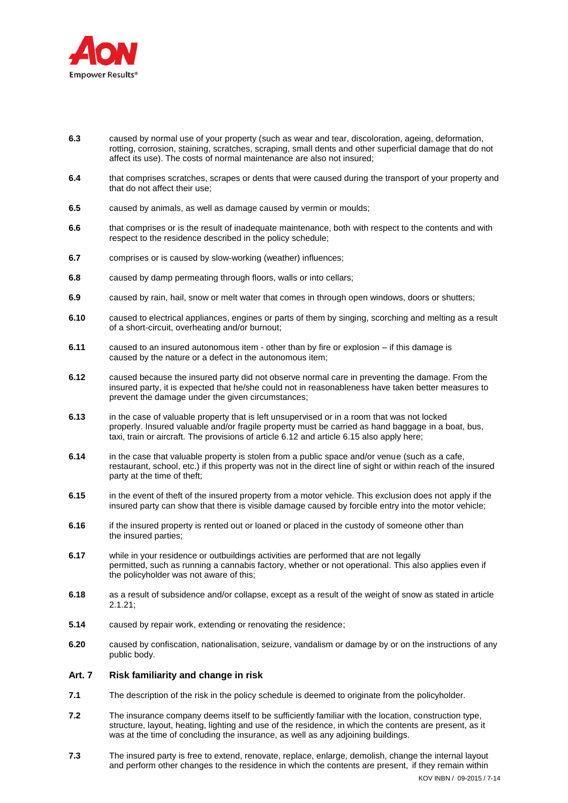

- **6.3** caused by normal use of your property (such as wear and tear, discoloration, ageing, deformation, rotting, corrosion, staining, scratches, scraping, small dents and other superficial damage that do not affect its use). The costs of normal maintenance are also not insured;
- **6.4** that comprises scratches, scrapes or dents that were caused during the transport of your property and that do not affect their use;
- **6.5** caused by animals, as well as damage caused by vermin or moulds;
- **6.6** that comprises or is the result of inadequate maintenance, both with respect to the contents and with respect to the residence described in the policy schedule;
- **6.7** comprises or is caused by slow-working (weather) influences;
- **6.8** caused by damp permeating through floors, walls or into cellars;
- **6.9** caused by rain, hail, snow or melt water that comes in through open windows, doors or shutters;
- **6.10** caused to electrical appliances, engines or parts of them by singing, scorching and melting as a result of a short-circuit, overheating and/or burnout;
- **6.11** caused to an insured autonomous item other than by fire or explosion if this damage is caused by the nature or a defect in the autonomous item;
- **6.12** caused because the insured party did not observe normal care in preventing the damage. From the insured party, it is expected that he/she could not in reasonableness have taken better measures to prevent the damage under the given circumstances;
- **6.13** in the case of valuable property that is left unsupervised or in a room that was not locked properly. Insured valuable and/or fragile property must be carried as hand baggage in a boat, bus, taxi, train or aircraft. The provisions of article 6.12 and article 6.15 also apply here;
- **6.14** in the case that valuable property is stolen from a public space and/or venue (such as a cafe, restaurant, school, etc.) if this property was not in the direct line of sight or within reach of the insured party at the time of theft;
- **6.15** in the event of theft of the insured property from a motor vehicle. This exclusion does not apply if the insured party can show that there is visible damage caused by forcible entry into the motor vehicle;
- **6.16** if the insured property is rented out or loaned or placed in the custody of someone other than the insured parties;
- **6.17** while in your residence or outbuildings activities are performed that are not legally permitted, such as running a cannabis factory, whether or not operational. This also applies even if the policyholder was not aware of this;
- **6.18** as a result of subsidence and/or collapse, except as a result of the weight of snow as stated in article 2.1.21;
- **5.14** caused by repair work, extending or renovating the residence;
- **6.20** caused by confiscation, nationalisation, seizure, vandalism or damage by or on the instructions of any public body.

# **Art. 7 Risk familiarity and change in risk**

- **7.1** The description of the risk in the policy schedule is deemed to originate from the policyholder.
- **7.2** The insurance company deems itself to be sufficiently familiar with the location, construction type, structure, layout, heating, lighting and use of the residence, in which the contents are present, as it was at the time of concluding the insurance, as well as any adjoining buildings.
- **7.3** The insured party is free to extend, renovate, replace, enlarge, demolish, change the internal layout and perform other changes to the residence in which the contents are present, if they remain within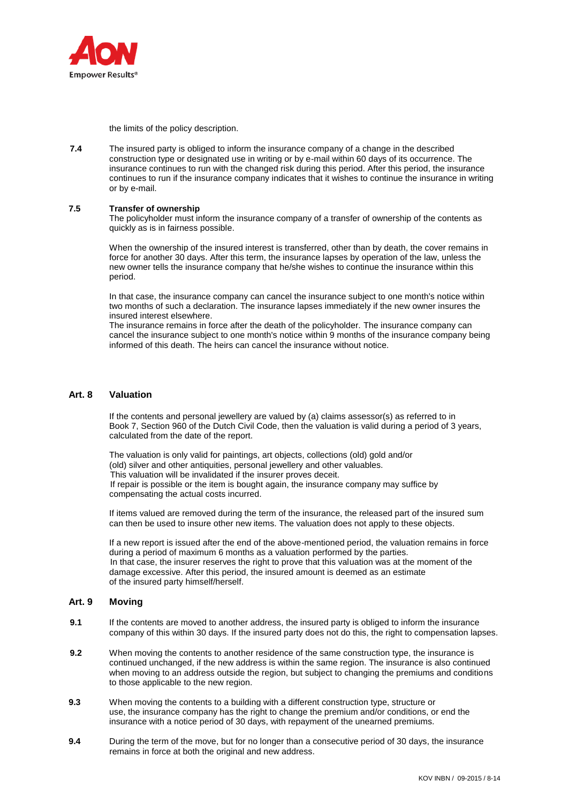

the limits of the policy description.

**7.4** The insured party is obliged to inform the insurance company of a change in the described construction type or designated use in writing or by e-mail within 60 days of its occurrence. The insurance continues to run with the changed risk during this period. After this period, the insurance continues to run if the insurance company indicates that it wishes to continue the insurance in writing or by e-mail.

### **7.5 Transfer of ownership**

The policyholder must inform the insurance company of a transfer of ownership of the contents as quickly as is in fairness possible.

When the ownership of the insured interest is transferred, other than by death, the cover remains in force for another 30 days. After this term, the insurance lapses by operation of the law, unless the new owner tells the insurance company that he/she wishes to continue the insurance within this period.

In that case, the insurance company can cancel the insurance subject to one month's notice within two months of such a declaration. The insurance lapses immediately if the new owner insures the insured interest elsewhere.

The insurance remains in force after the death of the policyholder. The insurance company can cancel the insurance subject to one month's notice within 9 months of the insurance company being informed of this death. The heirs can cancel the insurance without notice.

# **Art. 8 Valuation**

 If the contents and personal jewellery are valued by (a) claims assessor(s) as referred to in Book 7, Section 960 of the Dutch Civil Code, then the valuation is valid during a period of 3 years, calculated from the date of the report.

The valuation is only valid for paintings, art objects, collections (old) gold and/or (old) silver and other antiquities, personal jewellery and other valuables. This valuation will be invalidated if the insurer proves deceit. If repair is possible or the item is bought again, the insurance company may suffice by compensating the actual costs incurred.

If items valued are removed during the term of the insurance, the released part of the insured sum can then be used to insure other new items. The valuation does not apply to these objects.

If a new report is issued after the end of the above-mentioned period, the valuation remains in force during a period of maximum 6 months as a valuation performed by the parties. In that case, the insurer reserves the right to prove that this valuation was at the moment of the damage excessive. After this period, the insured amount is deemed as an estimate of the insured party himself/herself.

# **Art. 9 Moving**

- **9.1** If the contents are moved to another address, the insured party is obliged to inform the insurance company of this within 30 days. If the insured party does not do this, the right to compensation lapses.
- **9.2** When moving the contents to another residence of the same construction type, the insurance is continued unchanged, if the new address is within the same region. The insurance is also continued when moving to an address outside the region, but subject to changing the premiums and conditions to those applicable to the new region.
- **9.3** When moving the contents to a building with a different construction type, structure or use, the insurance company has the right to change the premium and/or conditions, or end the insurance with a notice period of 30 days, with repayment of the unearned premiums.
- **9.4** During the term of the move, but for no longer than a consecutive period of 30 days, the insurance remains in force at both the original and new address.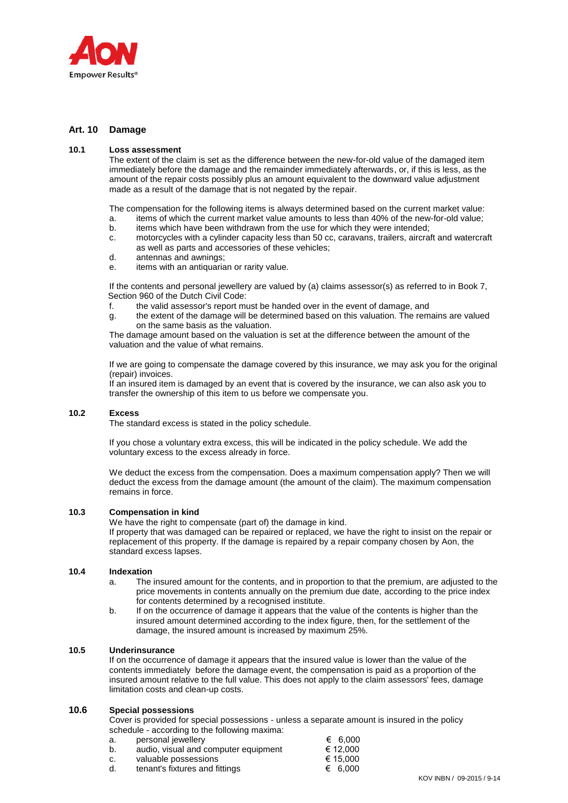

# **Art. 10 Damage**

#### **10.1 Loss assessment**

The extent of the claim is set as the difference between the new-for-old value of the damaged item immediately before the damage and the remainder immediately afterwards, or, if this is less, as the amount of the repair costs possibly plus an amount equivalent to the downward value adjustment made as a result of the damage that is not negated by the repair.

The compensation for the following items is always determined based on the current market value:

- a. items of which the current market value amounts to less than 40% of the new-for-old value;
- b. items which have been withdrawn from the use for which they were intended;
- c. motorcycles with a cylinder capacity less than 50 cc, caravans, trailers, aircraft and watercraft as well as parts and accessories of these vehicles;
- d. antennas and awnings;
- e. items with an antiquarian or rarity value.

If the contents and personal jewellery are valued by (a) claims assessor(s) as referred to in Book 7, Section 960 of the Dutch Civil Code:

- f. the valid assessor's report must be handed over in the event of damage, and
- g. the extent of the damage will be determined based on this valuation. The remains are valued on the same basis as the valuation.

The damage amount based on the valuation is set at the difference between the amount of the valuation and the value of what remains.

If we are going to compensate the damage covered by this insurance, we may ask you for the original (repair) invoices.

If an insured item is damaged by an event that is covered by the insurance, we can also ask you to transfer the ownership of this item to us before we compensate you.

### **10.2 Excess**

The standard excess is stated in the policy schedule.

If you chose a voluntary extra excess, this will be indicated in the policy schedule. We add the voluntary excess to the excess already in force.

We deduct the excess from the compensation. Does a maximum compensation apply? Then we will deduct the excess from the damage amount (the amount of the claim). The maximum compensation remains in force.

## **10.3 Compensation in kind**

We have the right to compensate (part of) the damage in kind.

If property that was damaged can be repaired or replaced, we have the right to insist on the repair or replacement of this property. If the damage is repaired by a repair company chosen by Aon, the standard excess lapses.

#### **10.4 Indexation**

- a. The insured amount for the contents, and in proportion to that the premium, are adjusted to the price movements in contents annually on the premium due date, according to the price index for contents determined by a recognised institute.
- b. If on the occurrence of damage it appears that the value of the contents is higher than the insured amount determined according to the index figure, then, for the settlement of the damage, the insured amount is increased by maximum 25%.

### **10.5 Underinsurance**

If on the occurrence of damage it appears that the insured value is lower than the value of the contents immediately before the damage event, the compensation is paid as a proportion of the insured amount relative to the full value. This does not apply to the claim assessors' fees, damage limitation costs and clean-up costs.

### **10.6 Special possessions**

Cover is provided for special possessions - unless a separate amount is insured in the policy schedule - according to the following maxima:

- a. personal jewellery  $\epsilon$  6,000 b. audio, visual and computer equipment  $\epsilon$  12,000 c. valuable possessions  $\in$  15,000 d. tenant's fixtures and fittings  $\in$  6.000 tenant's fixtures and fittings
	-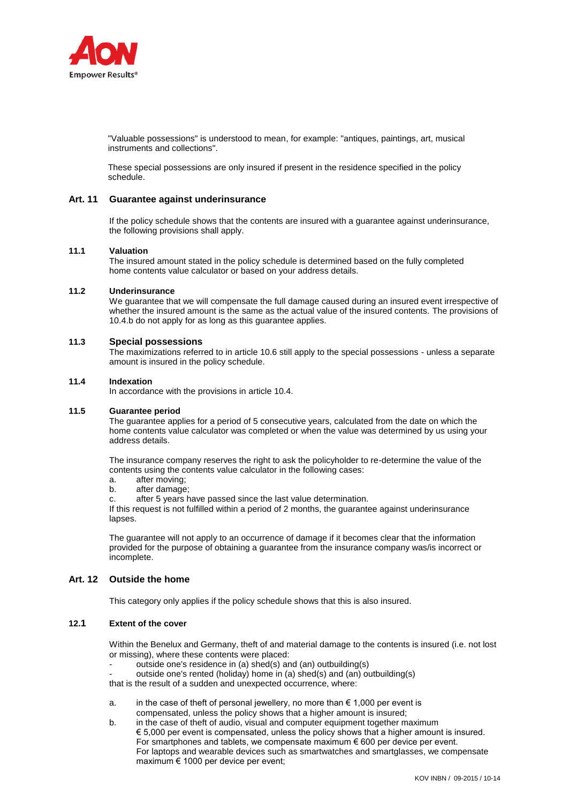

"Valuable possessions" is understood to mean, for example: "antiques, paintings, art, musical instruments and collections".

These special possessions are only insured if present in the residence specified in the policy schedule.

# **Art. 11 Guarantee against underinsurance**

If the policy schedule shows that the contents are insured with a guarantee against underinsurance, the following provisions shall apply.

#### **11.1 Valuation**

The insured amount stated in the policy schedule is determined based on the fully completed home contents value calculator or based on your address details.

#### **11.2 Underinsurance**

We guarantee that we will compensate the full damage caused during an insured event irrespective of whether the insured amount is the same as the actual value of the insured contents. The provisions of 10.4.b do not apply for as long as this guarantee applies.

### **11.3 Special possessions**

The maximizations referred to in article 10.6 still apply to the special possessions - unless a separate amount is insured in the policy schedule.

### **11.4 Indexation**

In accordance with the provisions in article 10.4.

## **11.5 Guarantee period**

The guarantee applies for a period of 5 consecutive years, calculated from the date on which the home contents value calculator was completed or when the value was determined by us using your address details.

The insurance company reserves the right to ask the policyholder to re-determine the value of the contents using the contents value calculator in the following cases:

- a. after moving;
- b. after damage;
- c. after 5 years have passed since the last value determination.

If this request is not fulfilled within a period of 2 months, the guarantee against underinsurance lapses.

The guarantee will not apply to an occurrence of damage if it becomes clear that the information provided for the purpose of obtaining a guarantee from the insurance company was/is incorrect or incomplete.

# **Art. 12 Outside the home**

This category only applies if the policy schedule shows that this is also insured.

# **12.1 Extent of the cover**

Within the Benelux and Germany, theft of and material damage to the contents is insured (i.e. not lost or missing), where these contents were placed:

- outside one's residence in (a) shed(s) and (an) outbuilding(s)
- outside one's rented (holiday) home in (a) shed(s) and (an) outbuilding(s)

that is the result of a sudden and unexpected occurrence, where:

- a. in the case of theft of personal jewellery, no more than  $\epsilon$  1,000 per event is compensated, unless the policy shows that a higher amount is insured;
- b. in the case of theft of audio, visual and computer equipment together maximum € 5,000 per event is compensated, unless the policy shows that a higher amount is insured. For smartphones and tablets, we compensate maximum  $\epsilon$  600 per device per event. For laptops and wearable devices such as smartwatches and smartglasses, we compensate maximum € 1000 per device per event;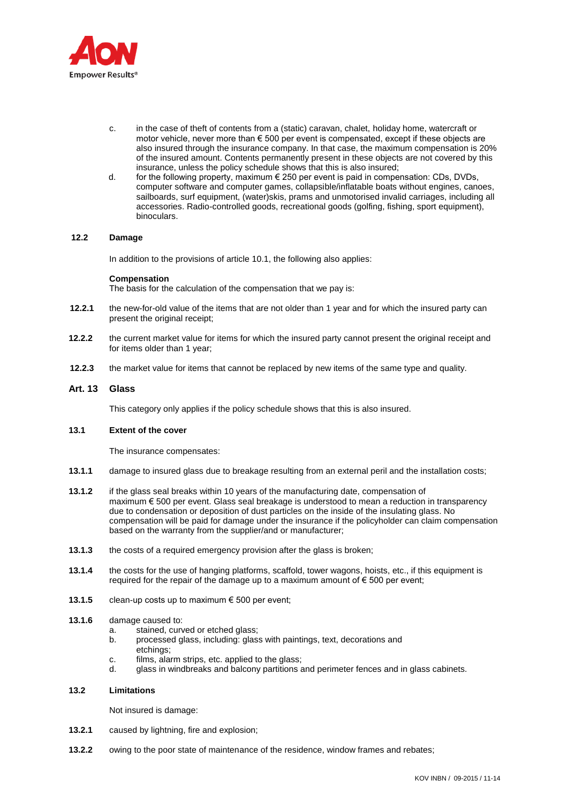

- c. in the case of theft of contents from a (static) caravan, chalet, holiday home, watercraft or motor vehicle, never more than  $\epsilon$  500 per event is compensated, except if these objects are also insured through the insurance company. In that case, the maximum compensation is 20% of the insured amount. Contents permanently present in these objects are not covered by this insurance, unless the policy schedule shows that this is also insured;
- d. for the following property, maximum  $\epsilon$  250 per event is paid in compensation: CDs, DVDs, computer software and computer games, collapsible/inflatable boats without engines, canoes, sailboards, surf equipment, (water)skis, prams and unmotorised invalid carriages, including all accessories. Radio-controlled goods, recreational goods (golfing, fishing, sport equipment), binoculars.

# **12.2 Damage**

In addition to the provisions of article 10.1, the following also applies:

#### **Compensation**

The basis for the calculation of the compensation that we pay is:

- **12.2.1** the new-for-old value of the items that are not older than 1 year and for which the insured party can present the original receipt;
- **12.2.2** the current market value for items for which the insured party cannot present the original receipt and for items older than 1 year;
- **12.2.3** the market value for items that cannot be replaced by new items of the same type and quality.

## **Art. 13 Glass**

This category only applies if the policy schedule shows that this is also insured.

### **13.1 Extent of the cover**

The insurance compensates:

- **13.1.1** damage to insured glass due to breakage resulting from an external peril and the installation costs;
- **13.1.2** if the glass seal breaks within 10 years of the manufacturing date, compensation of maximum € 500 per event. Glass seal breakage is understood to mean a reduction in transparency due to condensation or deposition of dust particles on the inside of the insulating glass. No compensation will be paid for damage under the insurance if the policyholder can claim compensation based on the warranty from the supplier/and or manufacturer;
- **13.1.3** the costs of a required emergency provision after the glass is broken;
- **13.1.4** the costs for the use of hanging platforms, scaffold, tower wagons, hoists, etc., if this equipment is required for the repair of the damage up to a maximum amount of  $\epsilon$  500 per event;
- **13.1.5** clean-up costs up to maximum € 500 per event;

#### **13.1.6** damage caused to:

- a. stained, curved or etched glass:
- b. processed glass, including: glass with paintings, text, decorations and etchings;
- c. films, alarm strips, etc. applied to the glass;
- d. glass in windbreaks and balcony partitions and perimeter fences and in glass cabinets.

#### **13.2 Limitations**

Not insured is damage:

- **13.2.1** caused by lightning, fire and explosion;
- **13.2.2** owing to the poor state of maintenance of the residence, window frames and rebates;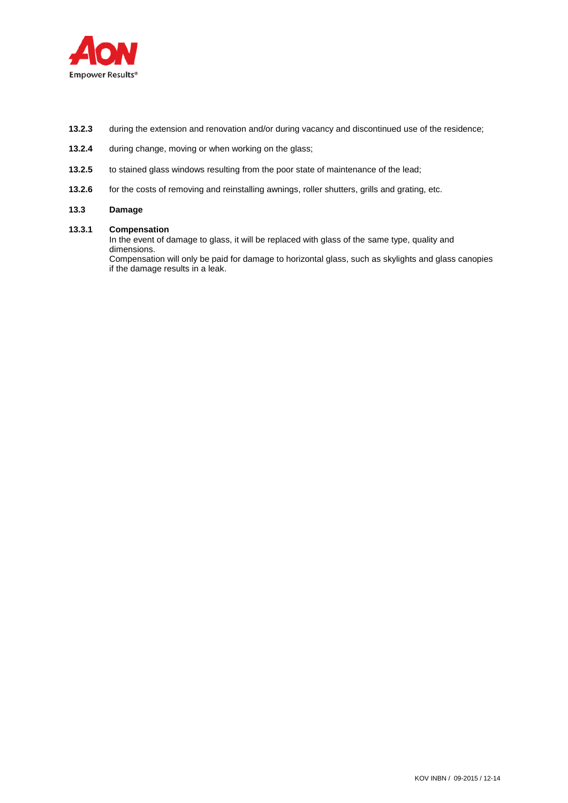

- **13.2.3** during the extension and renovation and/or during vacancy and discontinued use of the residence;
- **13.2.4** during change, moving or when working on the glass;
- **13.2.5** to stained glass windows resulting from the poor state of maintenance of the lead;
- 13.2.6 for the costs of removing and reinstalling awnings, roller shutters, grills and grating, etc.

# **13.3 Damage**

# **13.3.1 Compensation**

In the event of damage to glass, it will be replaced with glass of the same type, quality and dimensions.

Compensation will only be paid for damage to horizontal glass, such as skylights and glass canopies if the damage results in a leak.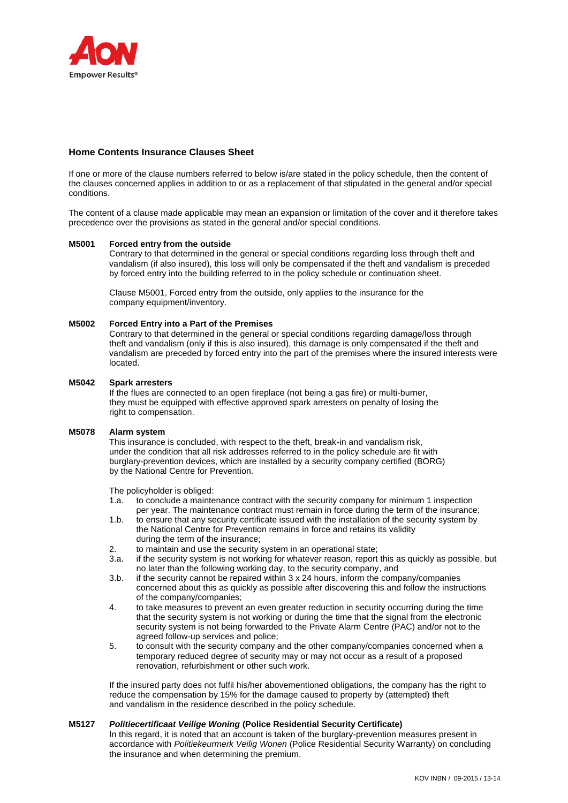

# **Home Contents Insurance Clauses Sheet**

If one or more of the clause numbers referred to below is/are stated in the policy schedule, then the content of the clauses concerned applies in addition to or as a replacement of that stipulated in the general and/or special conditions.

The content of a clause made applicable may mean an expansion or limitation of the cover and it therefore takes precedence over the provisions as stated in the general and/or special conditions.

## **M5001 Forced entry from the outside**

Contrary to that determined in the general or special conditions regarding loss through theft and vandalism (if also insured), this loss will only be compensated if the theft and vandalism is preceded by forced entry into the building referred to in the policy schedule or continuation sheet.

Clause M5001, Forced entry from the outside, only applies to the insurance for the company equipment/inventory.

## **M5002 Forced Entry into a Part of the Premises**

Contrary to that determined in the general or special conditions regarding damage/loss through theft and vandalism (only if this is also insured), this damage is only compensated if the theft and vandalism are preceded by forced entry into the part of the premises where the insured interests were located.

### **M5042 Spark arresters**

If the flues are connected to an open fireplace (not being a gas fire) or multi-burner, they must be equipped with effective approved spark arresters on penalty of losing the right to compensation.

## **M5078 Alarm system**

This insurance is concluded, with respect to the theft, break-in and vandalism risk, under the condition that all risk addresses referred to in the policy schedule are fit with burglary-prevention devices, which are installed by a security company certified (BORG) by the National Centre for Prevention.

The policyholder is obliged:

- 1.a. to conclude a maintenance contract with the security company for minimum 1 inspection per year. The maintenance contract must remain in force during the term of the insurance;
- 1.b. to ensure that any security certificate issued with the installation of the security system by the National Centre for Prevention remains in force and retains its validity during the term of the insurance;
- 2. to maintain and use the security system in an operational state;
- 3.a. if the security system is not working for whatever reason, report this as quickly as possible, but no later than the following working day, to the security company, and
- 3.b. if the security cannot be repaired within 3 x 24 hours, inform the company/companies concerned about this as quickly as possible after discovering this and follow the instructions of the company/companies;
- 4. to take measures to prevent an even greater reduction in security occurring during the time that the security system is not working or during the time that the signal from the electronic security system is not being forwarded to the Private Alarm Centre (PAC) and/or not to the agreed follow-up services and police;
- 5. to consult with the security company and the other company/companies concerned when a temporary reduced degree of security may or may not occur as a result of a proposed renovation, refurbishment or other such work.

If the insured party does not fulfil his/her abovementioned obligations, the company has the right to reduce the compensation by 15% for the damage caused to property by (attempted) theft and vandalism in the residence described in the policy schedule.

## **M5127** *Politiecertificaat Veilige Woning* **(Police Residential Security Certificate)**

In this regard, it is noted that an account is taken of the burglary-prevention measures present in accordance with *Politiekeurmerk Veilig Wonen* (Police Residential Security Warranty) on concluding the insurance and when determining the premium.